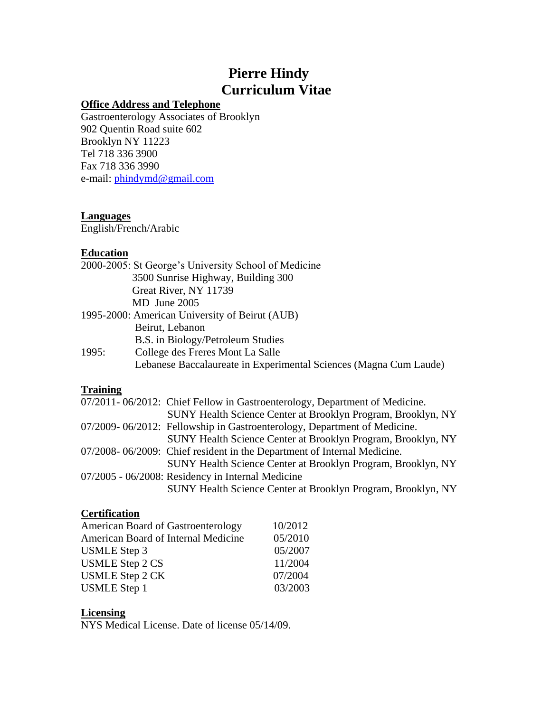# **Pierre Hindy Curriculum Vitae**

# **Office Address and Telephone**

Gastroenterology Associates of Brooklyn 902 Quentin Road suite 602 Brooklyn NY 11223 Tel 718 336 3900 Fax 718 336 3990 e-mail: [phindymd@gmail.com](mailto:phindymd@gmail.com) 

#### **Languages**

English/French/Arabic

# **Education**

|       | 2000-2005: St George's University School of Medicine              |
|-------|-------------------------------------------------------------------|
|       | 3500 Sunrise Highway, Building 300                                |
|       | Great River, NY 11739                                             |
|       | MD June 2005                                                      |
|       | 1995-2000: American University of Beirut (AUB)                    |
|       | Beirut, Lebanon                                                   |
|       | B.S. in Biology/Petroleum Studies                                 |
| 1995: | College des Freres Mont La Salle                                  |
|       | Lebanese Baccalaureate in Experimental Sciences (Magna Cum Laude) |
|       |                                                                   |

# **Training**

| 07/2011-06/2012: Chief Fellow in Gastroenterology, Department of Medicine. |
|----------------------------------------------------------------------------|
| SUNY Health Science Center at Brooklyn Program, Brooklyn, NY               |
| 07/2009-06/2012: Fellowship in Gastroenterology, Department of Medicine.   |
| SUNY Health Science Center at Brooklyn Program, Brooklyn, NY               |
| 07/2008-06/2009: Chief resident in the Department of Internal Medicine.    |
| SUNY Health Science Center at Brooklyn Program, Brooklyn, NY               |
| 07/2005 - 06/2008: Residency in Internal Medicine                          |
| SUNY Health Science Center at Brooklyn Program, Brooklyn, NY               |
|                                                                            |

# **Certification**

| <b>American Board of Gastroenterology</b> | 10/2012 |
|-------------------------------------------|---------|
| American Board of Internal Medicine       | 05/2010 |
| <b>USMLE</b> Step 3                       | 05/2007 |
| <b>USMLE Step 2 CS</b>                    | 11/2004 |
| <b>USMLE Step 2 CK</b>                    | 07/2004 |
| <b>USMLE</b> Step 1                       | 03/2003 |

# **Licensing**

NYS Medical License. Date of license 05/14/09.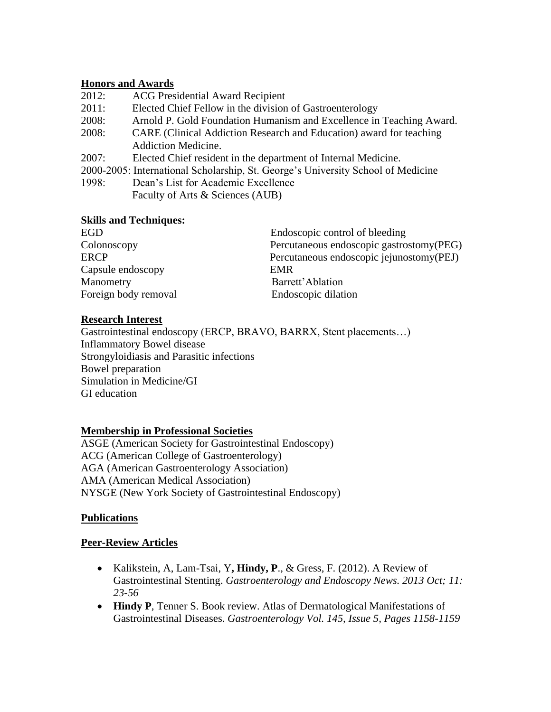## **Honors and Awards**

- 2012: ACG Presidential Award Recipient
- 2011: Elected Chief Fellow in the division of Gastroenterology
- 2008: Arnold P. Gold Foundation Humanism and Excellence in Teaching Award.
- 2008: CARE (Clinical Addiction Research and Education) award for teaching Addiction Medicine.
- 2007: Elected Chief resident in the department of Internal Medicine.
- 2000-2005: International Scholarship, St. George's University School of Medicine
- 1998: Dean's List for Academic Excellence Faculty of Arts & Sciences (AUB)

#### **Skills and Techniques:**

| EGD                  | Endoscopic control of bleeding            |
|----------------------|-------------------------------------------|
| Colonoscopy          | Percutaneous endoscopic gastrostomy(PEG)  |
| <b>ERCP</b>          | Percutaneous endoscopic jejunostomy (PEJ) |
| Capsule endoscopy    | <b>EMR</b>                                |
| Manometry            | Barrett' Ablation                         |
| Foreign body removal | Endoscopic dilation                       |

#### **Research Interest**

Gastrointestinal endoscopy (ERCP, BRAVO, BARRX, Stent placements…) Inflammatory Bowel disease Strongyloidiasis and Parasitic infections Bowel preparation Simulation in Medicine/GI GI education

# **Membership in Professional Societies**

ASGE (American Society for Gastrointestinal Endoscopy) ACG (American College of Gastroenterology) AGA (American Gastroenterology Association) AMA (American Medical Association) NYSGE (New York Society of Gastrointestinal Endoscopy)

# **Publications**

# **Peer-Review Articles**

- Kalikstein, A, Lam-Tsai, Y**, Hindy, P**., & Gress, F. (2012). A Review of Gastrointestinal Stenting. *Gastroenterology and Endoscopy News. 2013 Oct; 11: 23-56*
- **Hindy P**, Tenner S. Book review. Atlas of Dermatological Manifestations of Gastrointestinal Diseases. *Gastroenterology Vol. 145, Issue 5, Pages 1158-1159*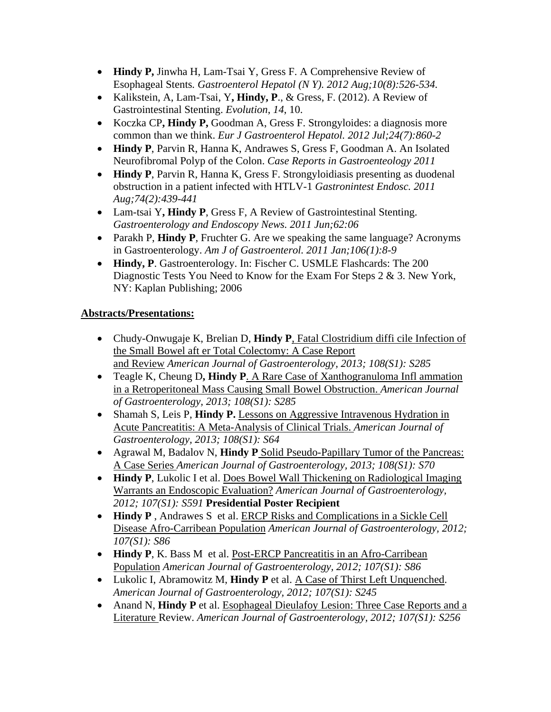- **Hindy P,** Jinwha H, Lam-Tsai Y, Gress F. A Comprehensive Review of Esophageal Stents*. Gastroenterol Hepatol (N Y). 2012 Aug;10(8):526-534.*
- Kalikstein, A, Lam-Tsai, Y**, Hindy, P**., & Gress, F. (2012). A Review of Gastrointestinal Stenting. *Evolution*, *14*, 10.
- Koczka CP**, Hindy P,** Goodman A, Gress F. Strongyloides: a diagnosis more common than we think. *Eur J Gastroenterol Hepatol. 2012 Jul;24(7):860-2*
- **Hindy P**, Parvin R, Hanna K, Andrawes S, Gress F, Goodman A. An Isolated Neurofibromal Polyp of the Colon. *Case Reports in Gastroenteology 2011*
- **Hindy P**, Parvin R, Hanna K, Gress F. Strongyloidiasis presenting as duodenal obstruction in a patient infected with HTLV-1 *Gastronintest Endosc. 2011 Aug;74(2):439-441*
- Lam-tsai Y**, Hindy P**, Gress F, A Review of Gastrointestinal Stenting. *Gastroenterology and Endoscopy News. 2011 Jun;62:06*
- Parakh P, **Hindy P**, Fruchter G. Are we speaking the same language? Acronyms in Gastroenterology. *Am J of Gastroenterol. 2011 Jan;106(1):8-9*
- **Hindy, P**. Gastroenterology. In: Fischer C. USMLE Flashcards: The 200 Diagnostic Tests You Need to Know for the Exam For Steps 2 & 3. New York, NY: Kaplan Publishing; 2006

# **Abstracts/Presentations:**

- Chudy-Onwugaje K, Brelian D, **Hindy P**, Fatal Clostridium diffi cile Infection of the Small Bowel aft er Total Colectomy: A Case Report and Review *American Journal of Gastroenterology, 2013; 108(S1): S285*
- Teagle K, Cheung D**, Hindy P**. A Rare Case of Xanthogranuloma Infl ammation in a Retroperitoneal Mass Causing Small Bowel Obstruction. *American Journal of Gastroenterology, 2013; 108(S1): S285*
- Shamah S, Leis P, **Hindy P.** Lessons on Aggressive Intravenous Hydration in Acute Pancreatitis: A Meta-Analysis of Clinical Trials. *American Journal of Gastroenterology, 2013; 108(S1): S64*
- Agrawal M, Badalov N, **Hindy P** Solid Pseudo-Papillary Tumor of the Pancreas: A Case Series *American Journal of Gastroenterology, 2013; 108(S1): S70*
- **Hindy P**, Lukolic I et al. Does Bowel Wall Thickening on Radiological Imaging Warrants an Endoscopic Evaluation? *American Journal of Gastroenterology, 2012; 107(S1): S591* **Presidential Poster Recipient**
- **Hindy P** , Andrawes S et al. ERCP Risks and Complications in a Sickle Cell Disease Afro-Carribean Population *American Journal of Gastroenterology, 2012; 107(S1): S86*
- **Hindy P**, K. Bass M et al. Post-ERCP Pancreatitis in an Afro-Carribean Population *American Journal of Gastroenterology, 2012; 107(S1): S86*
- Lukolic I, Abramowitz M, **Hindy P** et al. A Case of Thirst Left Unquenched. *American Journal of Gastroenterology, 2012; 107(S1): S245*
- Anand N, **Hindy P** et al. Esophageal Dieulafoy Lesion: Three Case Reports and a Literature Review. *American Journal of Gastroenterology, 2012; 107(S1): S256*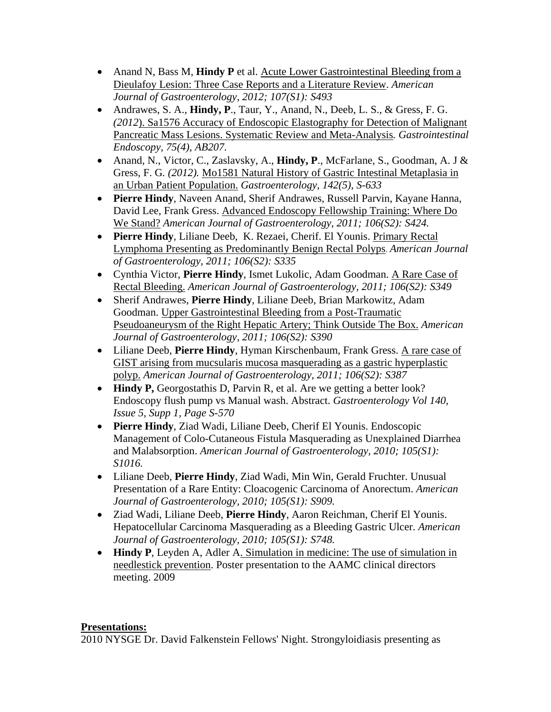- Anand N, Bass M, **Hindy P** et al. Acute Lower Gastrointestinal Bleeding from a Dieulafoy Lesion: Three Case Reports and a Literature Review. *American Journal of Gastroenterology, 2012; 107(S1): S493*
- Andrawes, S. A., **Hindy, P**., Taur, Y., Anand, N., Deeb, L. S., & Gress, F. G. *(2012*). Sa1576 Accuracy of Endoscopic Elastography for Detection of Malignant Pancreatic Mass Lesions. Systematic Review and Meta-Analysis*. Gastrointestinal Endoscopy, 75(4), AB207.*
- Anand, N., Victor, C., Zaslavsky, A., **Hindy, P**., McFarlane, S., Goodman, A. J & Gress, F. G*. (2012).* Mo1581 Natural History of Gastric Intestinal Metaplasia in an Urban Patient Population. *Gastroenterology, 142(5), S-633*
- **Pierre Hindy**, Naveen Anand, Sherif Andrawes, Russell Parvin, Kayane Hanna, David Lee, Frank Gress. Advanced Endoscopy Fellowship Training: Where Do We Stand? *American Journal of Gastroenterology, 2011; 106(S2): S424.*
- **Pierre Hindy**, Liliane Deeb, K. Rezaei, Cherif. El Younis. Primary Rectal Lymphoma Presenting as Predominantly Benign Rectal Polyps. *American Journal of Gastroenterology, 2011; 106(S2): S335*
- Cynthia Victor, **Pierre Hindy**, Ismet Lukolic, Adam Goodman. A Rare Case of Rectal Bleeding. *American Journal of Gastroenterology, 2011; 106(S2): S349*
- Sherif Andrawes, **Pierre Hindy**, Liliane Deeb, Brian Markowitz, Adam Goodman. Upper Gastrointestinal Bleeding from a Post-Traumatic Pseudoaneurysm of the Right Hepatic Artery; Think Outside The Box. *American Journal of Gastroenterology, 2011; 106(S2): S390*
- Liliane Deeb, **Pierre Hindy**, Hyman Kirschenbaum, Frank Gress. A rare case of GIST arising from mucsularis mucosa masquerading as a gastric hyperplastic polyp. *American Journal of Gastroenterology, 2011; 106(S2): S387*
- **Hindy P,** Georgostathis D, Parvin R, et al. Are we getting a better look? Endoscopy flush pump vs Manual wash. Abstract. *Gastroenterology Vol 140, Issue 5, Supp 1, Page S-570*
- **Pierre Hindy**, Ziad Wadi, Liliane Deeb, Cherif El Younis. Endoscopic Management of Colo-Cutaneous Fistula Masquerading as Unexplained Diarrhea and Malabsorption. *American Journal of Gastroenterology, 2010; 105(S1): S1016.*
- Liliane Deeb, **Pierre Hindy**, Ziad Wadi, Min Win, Gerald Fruchter. Unusual Presentation of a Rare Entity: Cloacogenic Carcinoma of Anorectum. *American Journal of Gastroenterology, 2010; 105(S1): S909.*
- Ziad Wadi, Liliane Deeb, **Pierre Hindy**, Aaron Reichman, Cherif El Younis. Hepatocellular Carcinoma Masquerading as a Bleeding Gastric Ulcer. *American Journal of Gastroenterology, 2010; 105(S1): S748.*
- **Hindy P**, Leyden A, Adler A. Simulation in medicine: The use of simulation in needlestick prevention. Poster presentation to the AAMC clinical directors meeting. 2009

# **Presentations:**

2010 NYSGE Dr. David Falkenstein Fellows' Night. Strongyloidiasis presenting as